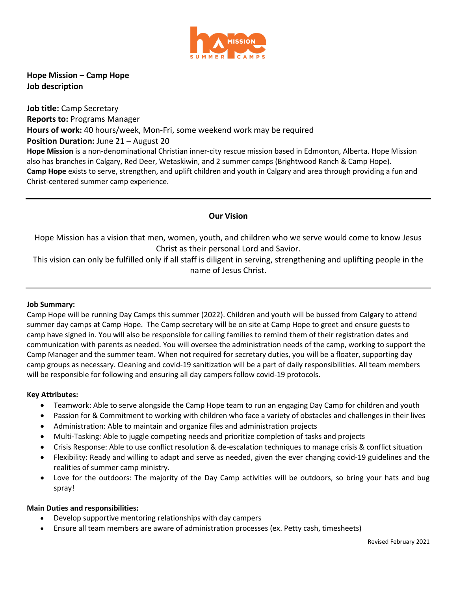

**Hope Mission – Camp Hope Job description**

**Job title:** Camp Secretary **Reports to:** Programs Manager **Hours of work:** 40 hours/week, Mon-Fri, some weekend work may be required **Position Duration: June 21 – August 20 Hope Mission** is a non-denominational Christian inner-city rescue mission based in Edmonton, Alberta. Hope Mission also has branches in Calgary, Red Deer, Wetaskiwin, and 2 summer camps (Brightwood Ranch & Camp Hope). **Camp Hope** exists to serve, strengthen, and uplift children and youth in Calgary and area through providing a fun and Christ-centered summer camp experience.

# **Our Vision**

Hope Mission has a vision that men, women, youth, and children who we serve would come to know Jesus Christ as their personal Lord and Savior.

This vision can only be fulfilled only if all staff is diligent in serving, strengthening and uplifting people in the name of Jesus Christ.

#### **Job Summary:**

Camp Hope will be running Day Camps this summer (2022). Children and youth will be bussed from Calgary to attend summer day camps at Camp Hope. The Camp secretary will be on site at Camp Hope to greet and ensure guests to camp have signed in. You will also be responsible for calling families to remind them of their registration dates and communication with parents as needed. You will oversee the administration needs of the camp, working to support the Camp Manager and the summer team. When not required for secretary duties, you will be a floater, supporting day camp groups as necessary. Cleaning and covid-19 sanitization will be a part of daily responsibilities. All team members will be responsible for following and ensuring all day campers follow covid-19 protocols.

#### **Key Attributes:**

- Teamwork: Able to serve alongside the Camp Hope team to run an engaging Day Camp for children and youth
- Passion for & Commitment to working with children who face a variety of obstacles and challenges in their lives
- Administration: Able to maintain and organize files and administration projects
- Multi-Tasking: Able to juggle competing needs and prioritize completion of tasks and projects
- Crisis Response: Able to use conflict resolution & de-escalation techniques to manage crisis & conflict situation
- Flexibility: Ready and willing to adapt and serve as needed, given the ever changing covid-19 guidelines and the realities of summer camp ministry.
- Love for the outdoors: The majority of the Day Camp activities will be outdoors, so bring your hats and bug spray!

## **Main Duties and responsibilities:**

- Develop supportive mentoring relationships with day campers
- Ensure all team members are aware of administration processes (ex. Petty cash, timesheets)